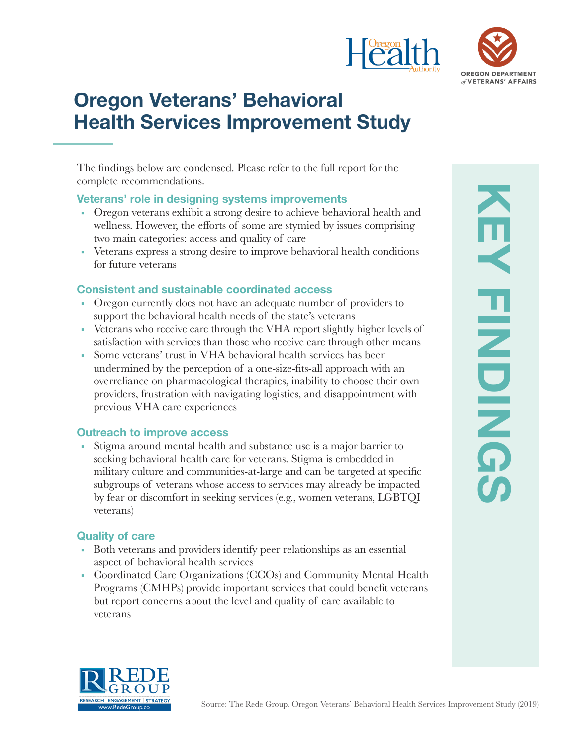



# **Oregon Veterans' Behavioral Health Services Improvement Study**

The findings below are condensed. Please refer to the full report for the complete recommendations.

#### **Veterans' role in designing systems improvements**

- Oregon veterans exhibit a strong desire to achieve behavioral health and wellness. However, the efforts of some are stymied by issues comprising two main categories: access and quality of care
- Veterans express a strong desire to improve behavioral health conditions for future veterans

## **Consistent and sustainable coordinated access**

- Oregon currently does not have an adequate number of providers to support the behavioral health needs of the state's veterans
- Veterans who receive care through the VHA report slightly higher levels of satisfaction with services than those who receive care through other means
- Some veterans' trust in VHA behavioral health services has been undermined by the perception of a one-size-fits-all approach with an overreliance on pharmacological therapies, inability to choose their own providers, frustration with navigating logistics, and disappointment with previous VHA care experiences

## **Outreach to improve access**

Stigma around mental health and substance use is a major barrier to seeking behavioral health care for veterans. Stigma is embedded in military culture and communities-at-large and can be targeted at specific subgroups of veterans whose access to services may already be impacted by fear or discomfort in seeking services (e.g., women veterans, LGBTQI veterans)

## **Quality of care**

- Both veterans and providers identify peer relationships as an essential aspect of behavioral health services
- Coordinated Care Organizations (CCOs) and Community Mental Health Programs (CMHPs) provide important services that could benefit veterans but report concerns about the level and quality of care available to veterans

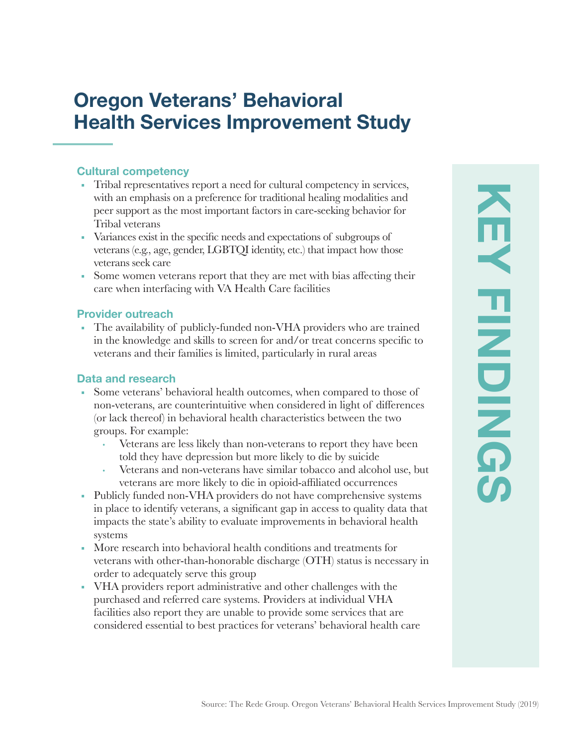## **Oregon Veterans' Behavioral Health Services Improvement Study**

### **Cultural competency**

- Tribal representatives report a need for cultural competency in services, with an emphasis on a preference for traditional healing modalities and peer support as the most important factors in care-seeking behavior for Tribal veterans
- Variances exist in the specific needs and expectations of subgroups of veterans (e.g., age, gender, LGBTQI identity, etc.) that impact how those veterans seek care
- Some women veterans report that they are met with bias affecting their care when interfacing with VA Health Care facilities

#### **Provider outreach**

■ The availability of publicly-funded non-VHA providers who are trained in the knowledge and skills to screen for and/or treat concerns specific to veterans and their families is limited, particularly in rural areas

#### **Data and research**

- Some veterans' behavioral health outcomes, when compared to those of non-veterans, are counterintuitive when considered in light of differences (or lack thereof) in behavioral health characteristics between the two groups. For example:
	- **·** Veterans are less likely than non-veterans to report they have been told they have depression but more likely to die by suicide
	- **·** Veterans and non-veterans have similar tobacco and alcohol use, but veterans are more likely to die in opioid-affiliated occurrences
- Publicly funded non-VHA providers do not have comprehensive systems in place to identify veterans, a significant gap in access to quality data that impacts the state's ability to evaluate improvements in behavioral health systems
- More research into behavioral health conditions and treatments for veterans with other-than-honorable discharge (OTH) status is necessary in order to adequately serve this group
- VHA providers report administrative and other challenges with the purchased and referred care systems. Providers at individual VHA facilities also report they are unable to provide some services that are considered essential to best practices for veterans' behavioral health care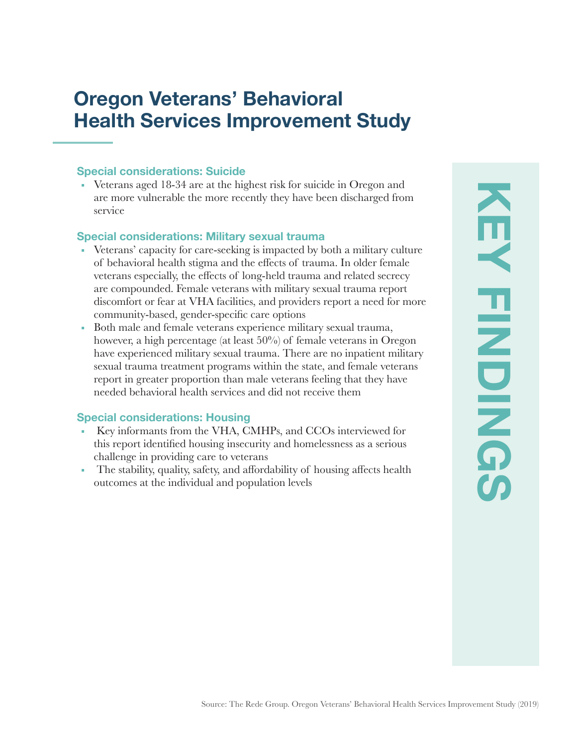## **Oregon Veterans' Behavioral Health Services Improvement Study**

### **Special considerations: Suicide**

• Veterans aged 18-34 are at the highest risk for suicide in Oregon and are more vulnerable the more recently they have been discharged from service

#### **Special considerations: Military sexual trauma**

- Veterans' capacity for care-seeking is impacted by both a military culture of behavioral health stigma and the effects of trauma. In older female veterans especially, the effects of long-held trauma and related secrecy are compounded. Female veterans with military sexual trauma report discomfort or fear at VHA facilities, and providers report a need for more community-based, gender-specific care options
- Both male and female veterans experience military sexual trauma, however, a high percentage (at least 50%) of female veterans in Oregon have experienced military sexual trauma. There are no inpatient military sexual trauma treatment programs within the state, and female veterans report in greater proportion than male veterans feeling that they have needed behavioral health services and did not receive them

#### **Special considerations: Housing**

- Key informants from the VHA, CMHPs, and CCOs interviewed for this report identified housing insecurity and homelessness as a serious challenge in providing care to veterans
- The stability, quality, safety, and affordability of housing affects health outcomes at the individual and population levels